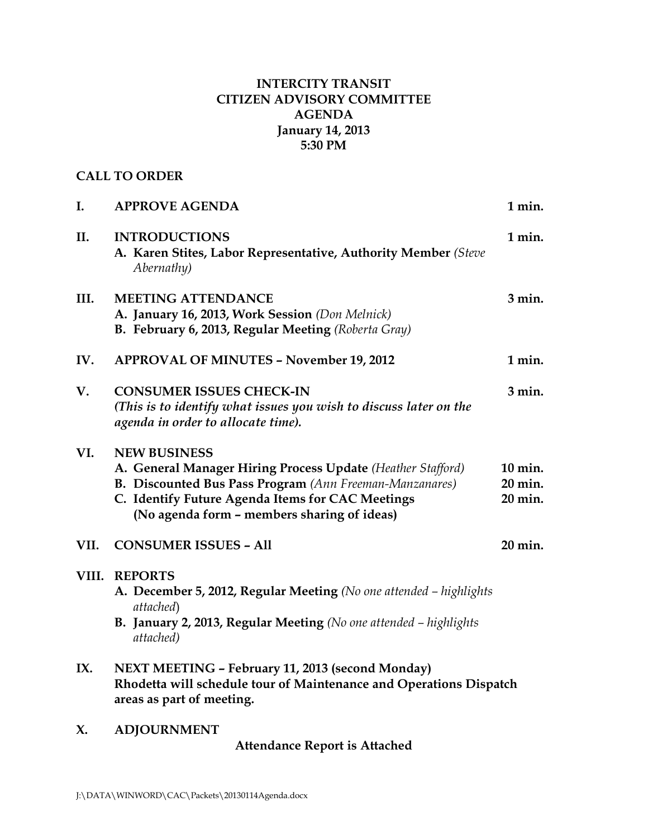# **INTERCITY TRANSIT CITIZEN ADVISORY COMMITTEE AGENDA January 14, 2013 5:30 PM**

# **CALL TO ORDER**

| I.   | <b>APPROVE AGENDA</b>                                                                                                                                                                                                                                   | 1 min.                        |
|------|---------------------------------------------------------------------------------------------------------------------------------------------------------------------------------------------------------------------------------------------------------|-------------------------------|
| П.   | <b>INTRODUCTIONS</b><br>A. Karen Stites, Labor Representative, Authority Member (Steve<br>Abernathy)                                                                                                                                                    | 1 min.                        |
| III. | <b>MEETING ATTENDANCE</b><br>A. January 16, 2013, Work Session (Don Melnick)<br>B. February 6, 2013, Regular Meeting (Roberta Gray)                                                                                                                     | $3$ min.                      |
| IV.  | <b>APPROVAL OF MINUTES - November 19, 2012</b>                                                                                                                                                                                                          | 1 min.                        |
| V.   | <b>CONSUMER ISSUES CHECK-IN</b><br>(This is to identify what issues you wish to discuss later on the<br>agenda in order to allocate time).                                                                                                              | $3$ min.                      |
| VI.  | <b>NEW BUSINESS</b><br>A. General Manager Hiring Process Update (Heather Stafford)<br><b>B. Discounted Bus Pass Program</b> (Ann Freeman-Manzanares)<br>C. Identify Future Agenda Items for CAC Meetings<br>(No agenda form - members sharing of ideas) | 10 min.<br>20 min.<br>20 min. |
| VII. | <b>CONSUMER ISSUES - All</b>                                                                                                                                                                                                                            | 20 min.                       |
|      | VIII. REPORTS<br>A. December 5, 2012, Regular Meeting (No one attended - highlights<br>attached)<br>B. January 2, 2013, Regular Meeting (No one attended - highlights<br>attached)                                                                      |                               |
| IX.  | NEXT MEETING - February 11, 2013 (second Monday)<br>Rhodetta will schedule tour of Maintenance and Operations Dispatch<br>areas as part of meeting.                                                                                                     |                               |
| X.   | <b>ADJOURNMENT</b>                                                                                                                                                                                                                                      |                               |

**Attendance Report is Attached**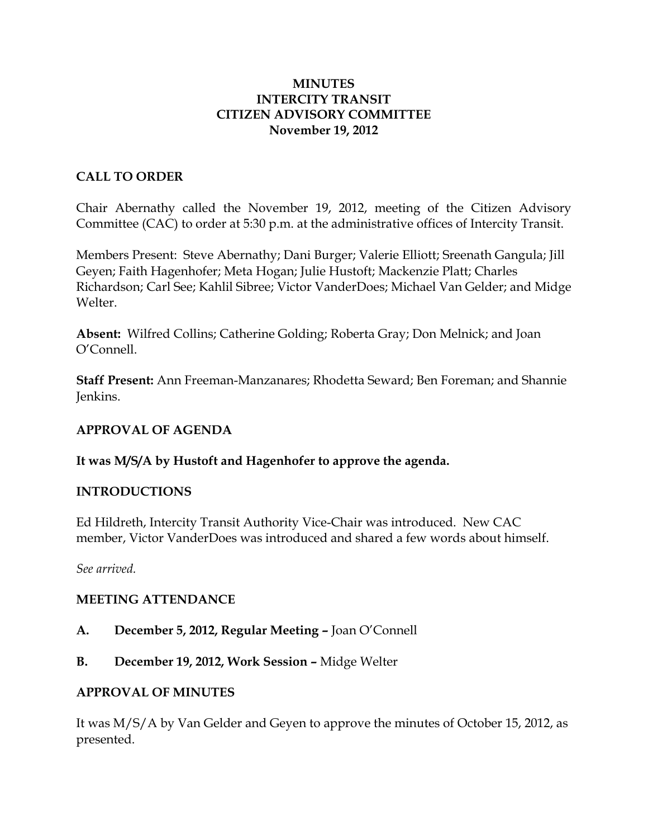#### **MINUTES INTERCITY TRANSIT CITIZEN ADVISORY COMMITTEE November 19, 2012**

## **CALL TO ORDER**

Chair Abernathy called the November 19, 2012, meeting of the Citizen Advisory Committee (CAC) to order at 5:30 p.m. at the administrative offices of Intercity Transit.

Members Present: Steve Abernathy; Dani Burger; Valerie Elliott; Sreenath Gangula; Jill Geyen; Faith Hagenhofer; Meta Hogan; Julie Hustoft; Mackenzie Platt; Charles Richardson; Carl See; Kahlil Sibree; Victor VanderDoes; Michael Van Gelder; and Midge Welter.

**Absent:** Wilfred Collins; Catherine Golding; Roberta Gray; Don Melnick; and Joan O'Connell.

**Staff Present:** Ann Freeman-Manzanares; Rhodetta Seward; Ben Foreman; and Shannie Jenkins.

#### **APPROVAL OF AGENDA**

## **It was M/S/A by Hustoft and Hagenhofer to approve the agenda.**

#### **INTRODUCTIONS**

Ed Hildreth, Intercity Transit Authority Vice-Chair was introduced. New CAC member, Victor VanderDoes was introduced and shared a few words about himself.

*See arrived.*

#### **MEETING ATTENDANCE**

- **A. December 5, 2012, Regular Meeting –** Joan O'Connell
- **B. December 19, 2012, Work Session –** Midge Welter

#### **APPROVAL OF MINUTES**

It was M/S/A by Van Gelder and Geyen to approve the minutes of October 15, 2012, as presented.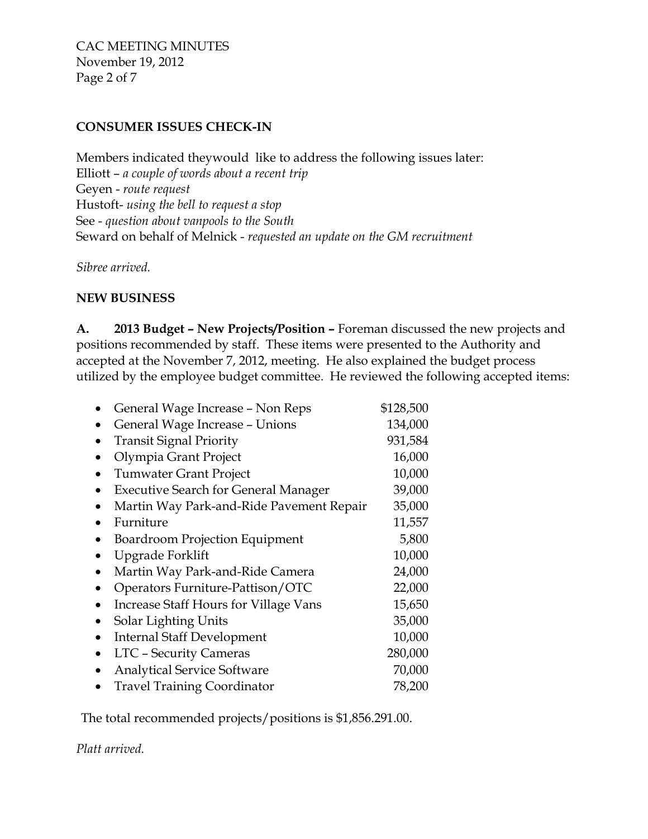CAC MEETING MINUTES November 19, 2012 Page 2 of 7

# **CONSUMER ISSUES CHECK-IN**

Members indicated theywould like to address the following issues later: Elliott – *a couple of words about a recent trip* Geyen - *route request* Hustoft- *using the bell to request a stop* See - *question about vanpools to the South* Seward on behalf of Melnick - *requested an update on the GM recruitment*

*Sibree arrived.*

## **NEW BUSINESS**

**A. 2013 Budget – New Projects/Position –** Foreman discussed the new projects and positions recommended by staff. These items were presented to the Authority and accepted at the November 7, 2012, meeting. He also explained the budget process utilized by the employee budget committee. He reviewed the following accepted items:

| General Wage Increase - Non Reps             | \$128,500 |
|----------------------------------------------|-----------|
| General Wage Increase - Unions               | 134,000   |
| <b>Transit Signal Priority</b>               | 931,584   |
| Olympia Grant Project                        | 16,000    |
| <b>Tumwater Grant Project</b>                | 10,000    |
| <b>Executive Search for General Manager</b>  | 39,000    |
| Martin Way Park-and-Ride Pavement Repair     | 35,000    |
| Furniture                                    | 11,557    |
| <b>Boardroom Projection Equipment</b>        | 5,800     |
| Upgrade Forklift                             | 10,000    |
| Martin Way Park-and-Ride Camera              | 24,000    |
| Operators Furniture-Pattison/OTC             | 22,000    |
| <b>Increase Staff Hours for Village Vans</b> | 15,650    |
| Solar Lighting Units                         | 35,000    |
| <b>Internal Staff Development</b>            | 10,000    |
| <b>LTC - Security Cameras</b>                | 280,000   |
| <b>Analytical Service Software</b>           | 70,000    |
| <b>Travel Training Coordinator</b>           | 78,200    |

The total recommended projects/positions is \$1,856.291.00.

*Platt arrived.*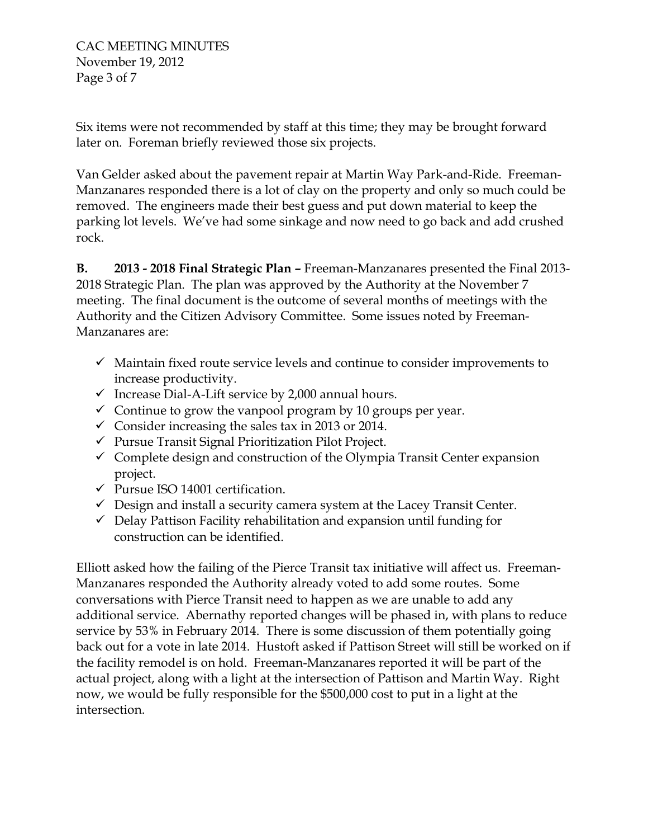Six items were not recommended by staff at this time; they may be brought forward later on. Foreman briefly reviewed those six projects.

Van Gelder asked about the pavement repair at Martin Way Park-and-Ride. Freeman-Manzanares responded there is a lot of clay on the property and only so much could be removed. The engineers made their best guess and put down material to keep the parking lot levels. We've had some sinkage and now need to go back and add crushed rock.

**B. 2013 - 2018 Final Strategic Plan –** Freeman-Manzanares presented the Final 2013- 2018 Strategic Plan. The plan was approved by the Authority at the November 7 meeting. The final document is the outcome of several months of meetings with the Authority and the Citizen Advisory Committee. Some issues noted by Freeman-Manzanares are:

- $\checkmark$  Maintain fixed route service levels and continue to consider improvements to increase productivity.
- $\checkmark$  Increase Dial-A-Lift service by 2,000 annual hours.
- $\checkmark$  Continue to grow the vanpool program by 10 groups per year.
- $\checkmark$  Consider increasing the sales tax in 2013 or 2014.
- $\checkmark$  Pursue Transit Signal Prioritization Pilot Project.
- $\checkmark$  Complete design and construction of the Olympia Transit Center expansion project.
- $\checkmark$  Pursue ISO 14001 certification.
- $\checkmark$  Design and install a security camera system at the Lacey Transit Center.
- $\checkmark$  Delay Pattison Facility rehabilitation and expansion until funding for construction can be identified.

Elliott asked how the failing of the Pierce Transit tax initiative will affect us. Freeman-Manzanares responded the Authority already voted to add some routes. Some conversations with Pierce Transit need to happen as we are unable to add any additional service. Abernathy reported changes will be phased in, with plans to reduce service by 53% in February 2014. There is some discussion of them potentially going back out for a vote in late 2014. Hustoft asked if Pattison Street will still be worked on if the facility remodel is on hold. Freeman-Manzanares reported it will be part of the actual project, along with a light at the intersection of Pattison and Martin Way. Right now, we would be fully responsible for the \$500,000 cost to put in a light at the intersection.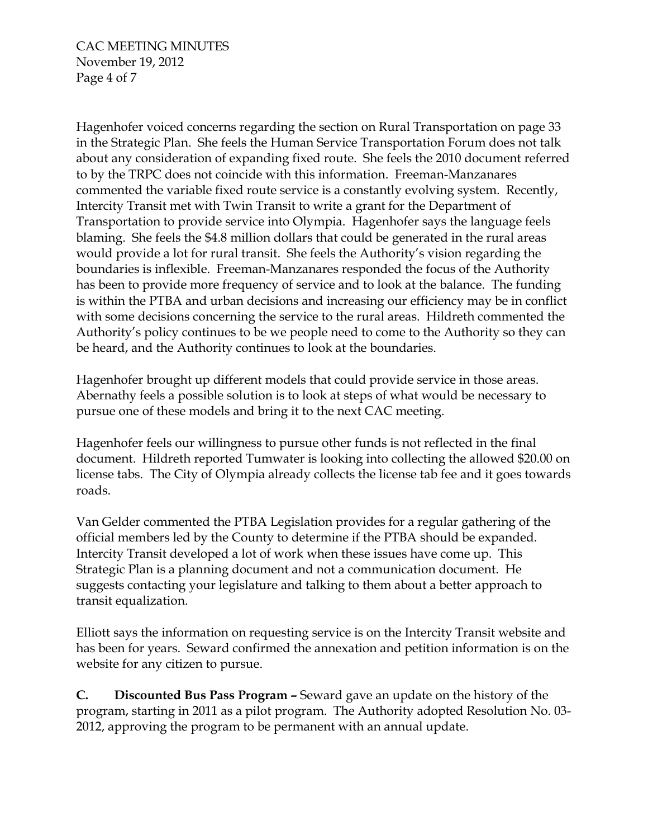CAC MEETING MINUTES November 19, 2012 Page 4 of 7

Hagenhofer voiced concerns regarding the section on Rural Transportation on page 33 in the Strategic Plan. She feels the Human Service Transportation Forum does not talk about any consideration of expanding fixed route. She feels the 2010 document referred to by the TRPC does not coincide with this information. Freeman-Manzanares commented the variable fixed route service is a constantly evolving system. Recently, Intercity Transit met with Twin Transit to write a grant for the Department of Transportation to provide service into Olympia. Hagenhofer says the language feels blaming. She feels the \$4.8 million dollars that could be generated in the rural areas would provide a lot for rural transit. She feels the Authority's vision regarding the boundaries is inflexible. Freeman-Manzanares responded the focus of the Authority has been to provide more frequency of service and to look at the balance. The funding is within the PTBA and urban decisions and increasing our efficiency may be in conflict with some decisions concerning the service to the rural areas. Hildreth commented the Authority's policy continues to be we people need to come to the Authority so they can be heard, and the Authority continues to look at the boundaries.

Hagenhofer brought up different models that could provide service in those areas. Abernathy feels a possible solution is to look at steps of what would be necessary to pursue one of these models and bring it to the next CAC meeting.

Hagenhofer feels our willingness to pursue other funds is not reflected in the final document. Hildreth reported Tumwater is looking into collecting the allowed \$20.00 on license tabs. The City of Olympia already collects the license tab fee and it goes towards roads.

Van Gelder commented the PTBA Legislation provides for a regular gathering of the official members led by the County to determine if the PTBA should be expanded. Intercity Transit developed a lot of work when these issues have come up. This Strategic Plan is a planning document and not a communication document. He suggests contacting your legislature and talking to them about a better approach to transit equalization.

Elliott says the information on requesting service is on the Intercity Transit website and has been for years. Seward confirmed the annexation and petition information is on the website for any citizen to pursue.

**C. Discounted Bus Pass Program –** Seward gave an update on the history of the program, starting in 2011 as a pilot program. The Authority adopted Resolution No. 03- 2012, approving the program to be permanent with an annual update.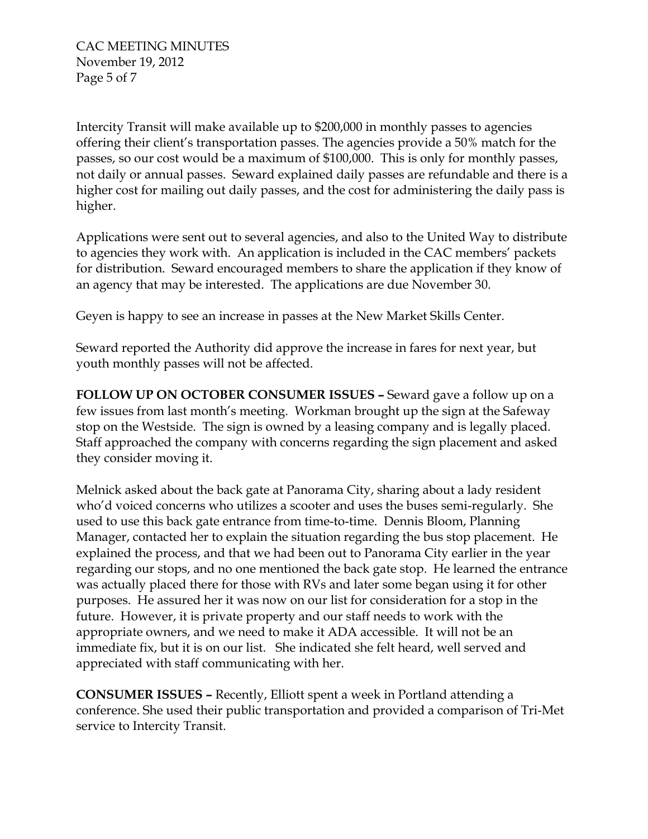Intercity Transit will make available up to \$200,000 in monthly passes to agencies offering their client's transportation passes. The agencies provide a 50% match for the passes, so our cost would be a maximum of \$100,000. This is only for monthly passes, not daily or annual passes. Seward explained daily passes are refundable and there is a higher cost for mailing out daily passes, and the cost for administering the daily pass is higher.

Applications were sent out to several agencies, and also to the United Way to distribute to agencies they work with. An application is included in the CAC members' packets for distribution. Seward encouraged members to share the application if they know of an agency that may be interested. The applications are due November 30.

Geyen is happy to see an increase in passes at the New Market Skills Center.

Seward reported the Authority did approve the increase in fares for next year, but youth monthly passes will not be affected.

**FOLLOW UP ON OCTOBER CONSUMER ISSUES –** Seward gave a follow up on a few issues from last month's meeting. Workman brought up the sign at the Safeway stop on the Westside. The sign is owned by a leasing company and is legally placed. Staff approached the company with concerns regarding the sign placement and asked they consider moving it.

Melnick asked about the back gate at Panorama City, sharing about a lady resident who'd voiced concerns who utilizes a scooter and uses the buses semi-regularly. She used to use this back gate entrance from time-to-time. Dennis Bloom, Planning Manager, contacted her to explain the situation regarding the bus stop placement. He explained the process, and that we had been out to Panorama City earlier in the year regarding our stops, and no one mentioned the back gate stop. He learned the entrance was actually placed there for those with RVs and later some began using it for other purposes. He assured her it was now on our list for consideration for a stop in the future. However, it is private property and our staff needs to work with the appropriate owners, and we need to make it ADA accessible. It will not be an immediate fix, but it is on our list. She indicated she felt heard, well served and appreciated with staff communicating with her.

**CONSUMER ISSUES –** Recently, Elliott spent a week in Portland attending a conference. She used their public transportation and provided a comparison of Tri-Met service to Intercity Transit.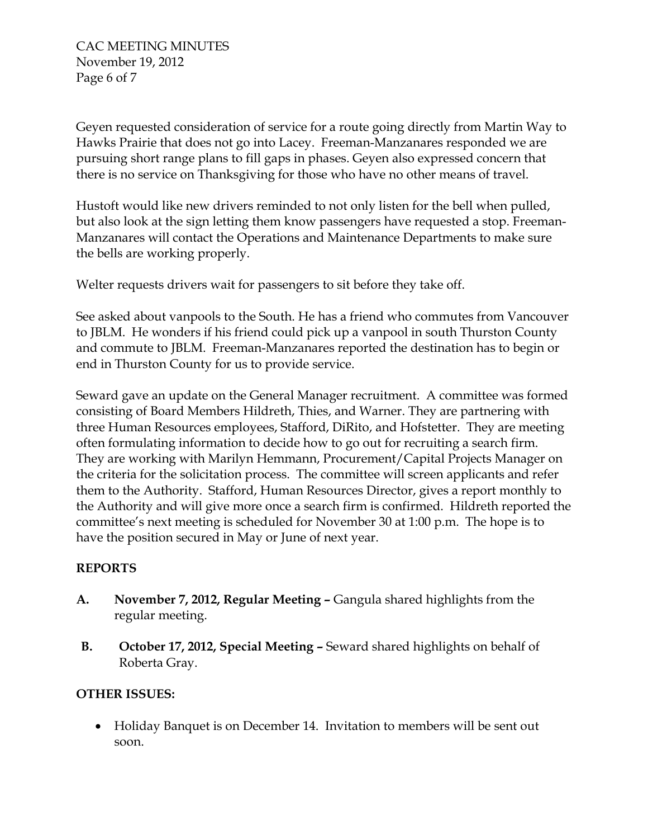CAC MEETING MINUTES November 19, 2012 Page 6 of 7

Geyen requested consideration of service for a route going directly from Martin Way to Hawks Prairie that does not go into Lacey. Freeman-Manzanares responded we are pursuing short range plans to fill gaps in phases. Geyen also expressed concern that there is no service on Thanksgiving for those who have no other means of travel.

Hustoft would like new drivers reminded to not only listen for the bell when pulled, but also look at the sign letting them know passengers have requested a stop. Freeman-Manzanares will contact the Operations and Maintenance Departments to make sure the bells are working properly.

Welter requests drivers wait for passengers to sit before they take off.

See asked about vanpools to the South. He has a friend who commutes from Vancouver to JBLM. He wonders if his friend could pick up a vanpool in south Thurston County and commute to JBLM. Freeman-Manzanares reported the destination has to begin or end in Thurston County for us to provide service.

Seward gave an update on the General Manager recruitment. A committee was formed consisting of Board Members Hildreth, Thies, and Warner. They are partnering with three Human Resources employees, Stafford, DiRito, and Hofstetter. They are meeting often formulating information to decide how to go out for recruiting a search firm. They are working with Marilyn Hemmann, Procurement/Capital Projects Manager on the criteria for the solicitation process. The committee will screen applicants and refer them to the Authority. Stafford, Human Resources Director, gives a report monthly to the Authority and will give more once a search firm is confirmed. Hildreth reported the committee's next meeting is scheduled for November 30 at 1:00 p.m. The hope is to have the position secured in May or June of next year.

# **REPORTS**

- **A. November 7, 2012, Regular Meeting –** Gangula shared highlights from the regular meeting.
- **B. October 17, 2012, Special Meeting –** Seward shared highlights on behalf of Roberta Gray.

# **OTHER ISSUES:**

• Holiday Banquet is on December 14. Invitation to members will be sent out soon.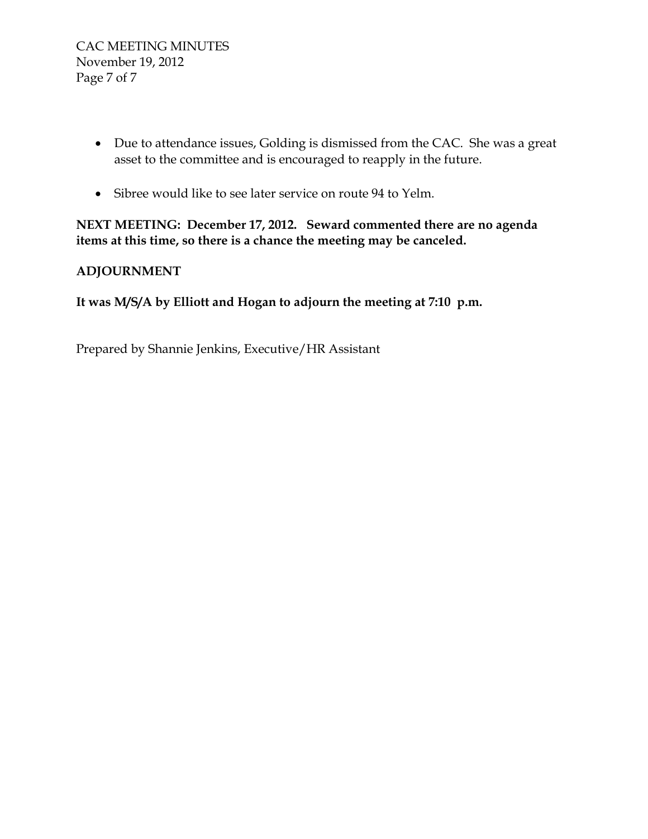- Due to attendance issues, Golding is dismissed from the CAC. She was a great asset to the committee and is encouraged to reapply in the future.
- Sibree would like to see later service on route 94 to Yelm.

**NEXT MEETING: December 17, 2012. Seward commented there are no agenda items at this time, so there is a chance the meeting may be canceled.** 

# **ADJOURNMENT**

**It was M/S/A by Elliott and Hogan to adjourn the meeting at 7:10 p.m.**

Prepared by Shannie Jenkins, Executive/HR Assistant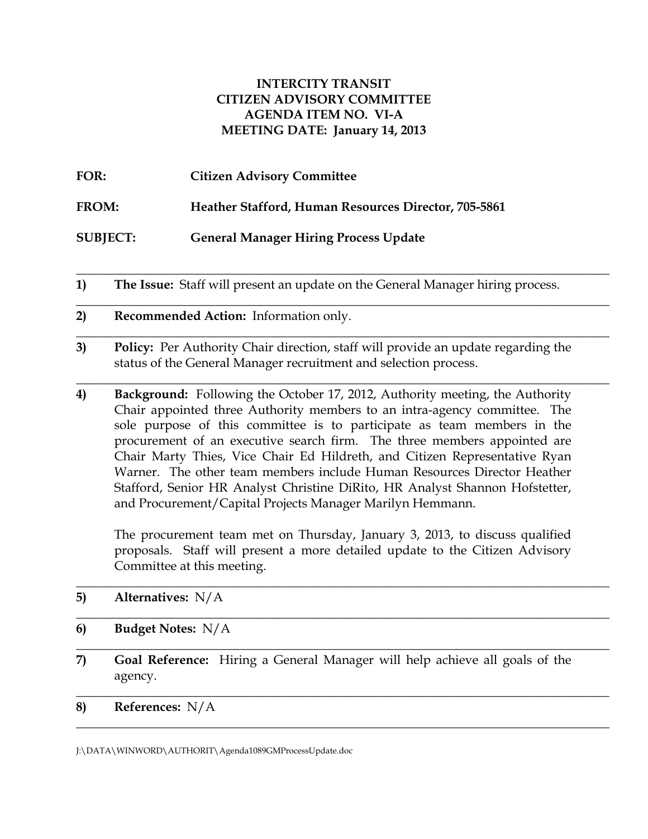#### **INTERCITY TRANSIT CITIZEN ADVISORY COMMITTEE AGENDA ITEM NO. VI-A MEETING DATE: January 14, 2013**

| FOR:            | <b>Citizen Advisory Committee</b>                           |
|-----------------|-------------------------------------------------------------|
| <b>FROM:</b>    | <b>Heather Stafford, Human Resources Director, 705-5861</b> |
| <b>SUBJECT:</b> | <b>General Manager Hiring Process Update</b>                |

**1) The Issue:** Staff will present an update on the General Manager hiring process.

\_\_\_\_\_\_\_\_\_\_\_\_\_\_\_\_\_\_\_\_\_\_\_\_\_\_\_\_\_\_\_\_\_\_\_\_\_\_\_\_\_\_\_\_\_\_\_\_\_\_\_\_\_\_\_\_\_\_\_\_\_\_\_\_\_\_\_\_\_\_\_\_\_\_\_\_\_\_\_\_\_\_\_\_

\_\_\_\_\_\_\_\_\_\_\_\_\_\_\_\_\_\_\_\_\_\_\_\_\_\_\_\_\_\_\_\_\_\_\_\_\_\_\_\_\_\_\_\_\_\_\_\_\_\_\_\_\_\_\_\_\_\_\_\_\_\_\_\_\_\_\_\_\_\_\_\_\_\_\_\_\_\_\_\_\_\_\_\_

\_\_\_\_\_\_\_\_\_\_\_\_\_\_\_\_\_\_\_\_\_\_\_\_\_\_\_\_\_\_\_\_\_\_\_\_\_\_\_\_\_\_\_\_\_\_\_\_\_\_\_\_\_\_\_\_\_\_\_\_\_\_\_\_\_\_\_\_\_\_\_\_\_\_\_\_\_\_\_\_\_\_\_\_

\_\_\_\_\_\_\_\_\_\_\_\_\_\_\_\_\_\_\_\_\_\_\_\_\_\_\_\_\_\_\_\_\_\_\_\_\_\_\_\_\_\_\_\_\_\_\_\_\_\_\_\_\_\_\_\_\_\_\_\_\_\_\_\_\_\_\_\_\_\_\_\_\_\_\_\_\_\_\_\_\_\_\_\_

- **2) Recommended Action:** Information only.
- **3) Policy:** Per Authority Chair direction, staff will provide an update regarding the status of the General Manager recruitment and selection process.
- **4) Background:** Following the October 17, 2012, Authority meeting, the Authority Chair appointed three Authority members to an intra-agency committee. The sole purpose of this committee is to participate as team members in the procurement of an executive search firm. The three members appointed are Chair Marty Thies, Vice Chair Ed Hildreth, and Citizen Representative Ryan Warner. The other team members include Human Resources Director Heather Stafford, Senior HR Analyst Christine DiRito, HR Analyst Shannon Hofstetter, and Procurement/Capital Projects Manager Marilyn Hemmann.

The procurement team met on Thursday, January 3, 2013, to discuss qualified proposals. Staff will present a more detailed update to the Citizen Advisory Committee at this meeting.

\_\_\_\_\_\_\_\_\_\_\_\_\_\_\_\_\_\_\_\_\_\_\_\_\_\_\_\_\_\_\_\_\_\_\_\_\_\_\_\_\_\_\_\_\_\_\_\_\_\_\_\_\_\_\_\_\_\_\_\_\_\_\_\_\_\_\_\_\_\_\_\_\_\_\_\_\_\_\_\_\_\_\_\_

 $\_$  , and the set of the set of the set of the set of the set of the set of the set of the set of the set of the set of the set of the set of the set of the set of the set of the set of the set of the set of the set of th

\_\_\_\_\_\_\_\_\_\_\_\_\_\_\_\_\_\_\_\_\_\_\_\_\_\_\_\_\_\_\_\_\_\_\_\_\_\_\_\_\_\_\_\_\_\_\_\_\_\_\_\_\_\_\_\_\_\_\_\_\_\_\_\_\_\_\_\_\_\_\_\_\_\_\_\_\_\_\_\_\_\_\_\_

\_\_\_\_\_\_\_\_\_\_\_\_\_\_\_\_\_\_\_\_\_\_\_\_\_\_\_\_\_\_\_\_\_\_\_\_\_\_\_\_\_\_\_\_\_\_\_\_\_\_\_\_\_\_\_\_\_\_\_\_\_\_\_\_\_\_\_\_\_\_\_\_\_\_\_\_\_\_\_\_\_\_\_\_

\_\_\_\_\_\_\_\_\_\_\_\_\_\_\_\_\_\_\_\_\_\_\_\_\_\_\_\_\_\_\_\_\_\_\_\_\_\_\_\_\_\_\_\_\_\_\_\_\_\_\_\_\_\_\_\_\_\_\_\_\_\_\_\_\_\_\_\_\_\_\_\_\_\_\_\_\_\_\_\_\_\_\_\_

- **5) Alternatives:** N/A
- **6) Budget Notes:** N/A
- **7) Goal Reference:** Hiring a General Manager will help achieve all goals of the agency.
- **8) References:** N/A

J:\DATA\WINWORD\AUTHORIT\Agenda1089GMProcessUpdate.doc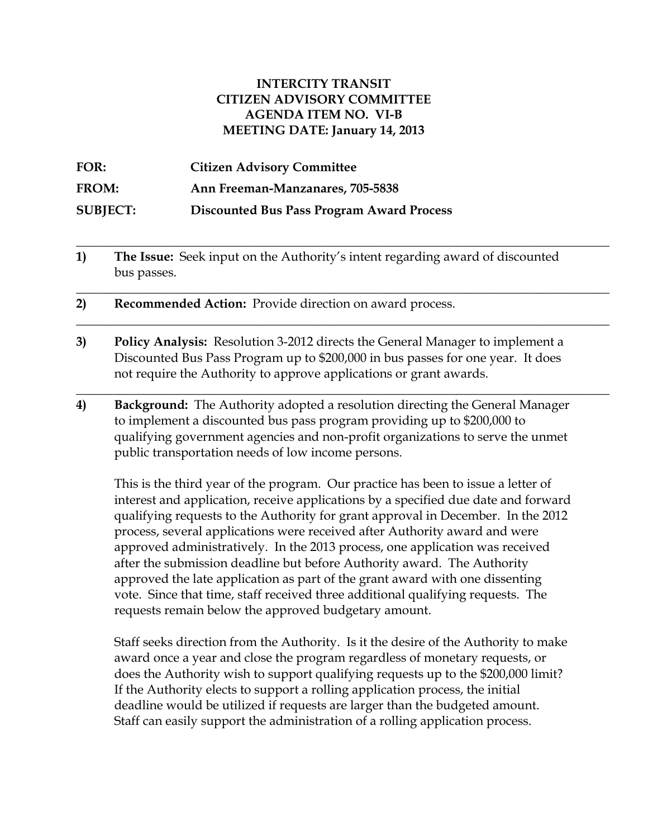#### **INTERCITY TRANSIT CITIZEN ADVISORY COMMITTEE AGENDA ITEM NO. VI-B MEETING DATE: January 14, 2013**

| FOR:            | <b>Citizen Advisory Committee</b>                |
|-----------------|--------------------------------------------------|
| <b>FROM:</b>    | Ann Freeman-Manzanares, 705-5838                 |
| <b>SUBJECT:</b> | <b>Discounted Bus Pass Program Award Process</b> |

**1) The Issue:** Seek input on the Authority's intent regarding award of discounted bus passes.

**\_\_\_\_\_\_\_\_\_\_\_\_\_\_\_\_\_\_\_\_\_\_\_\_\_\_\_\_\_\_\_\_\_\_\_\_\_\_\_\_\_\_\_\_\_\_\_\_\_\_\_\_\_\_\_\_\_\_\_\_\_\_\_\_\_\_\_\_\_\_\_\_\_\_\_\_\_\_\_\_\_\_\_\_**

\_\_\_\_\_\_\_\_\_\_\_\_\_\_\_\_\_\_\_\_\_\_\_\_\_\_\_\_\_\_\_\_\_\_\_\_\_\_\_\_\_\_\_\_\_\_\_\_\_\_\_\_\_\_\_\_\_\_\_\_\_\_\_\_\_\_\_\_\_\_\_\_\_\_\_\_\_\_\_\_\_\_\_\_

\_\_\_\_\_\_\_\_\_\_\_\_\_\_\_\_\_\_\_\_\_\_\_\_\_\_\_\_\_\_\_\_\_\_\_\_\_\_\_\_\_\_\_\_\_\_\_\_\_\_\_\_\_\_\_\_\_\_\_\_\_\_\_\_\_\_\_\_\_\_\_\_\_\_\_\_\_\_\_\_\_\_\_\_

\_\_\_\_\_\_\_\_\_\_\_\_\_\_\_\_\_\_\_\_\_\_\_\_\_\_\_\_\_\_\_\_\_\_\_\_\_\_\_\_\_\_\_\_\_\_\_\_\_\_\_\_\_\_\_\_\_\_\_\_\_\_\_\_\_\_\_\_\_\_\_\_\_\_\_\_\_\_\_\_\_\_\_\_

- **2) Recommended Action:** Provide direction on award process.
- **3) Policy Analysis:** Resolution 3-2012 directs the General Manager to implement a Discounted Bus Pass Program up to \$200,000 in bus passes for one year. It does not require the Authority to approve applications or grant awards.
- **4) Background:** The Authority adopted a resolution directing the General Manager to implement a discounted bus pass program providing up to \$200,000 to qualifying government agencies and non-profit organizations to serve the unmet public transportation needs of low income persons.

This is the third year of the program. Our practice has been to issue a letter of interest and application, receive applications by a specified due date and forward qualifying requests to the Authority for grant approval in December. In the 2012 process, several applications were received after Authority award and were approved administratively. In the 2013 process, one application was received after the submission deadline but before Authority award. The Authority approved the late application as part of the grant award with one dissenting vote. Since that time, staff received three additional qualifying requests. The requests remain below the approved budgetary amount.

Staff seeks direction from the Authority. Is it the desire of the Authority to make award once a year and close the program regardless of monetary requests, or does the Authority wish to support qualifying requests up to the \$200,000 limit? If the Authority elects to support a rolling application process, the initial deadline would be utilized if requests are larger than the budgeted amount. Staff can easily support the administration of a rolling application process.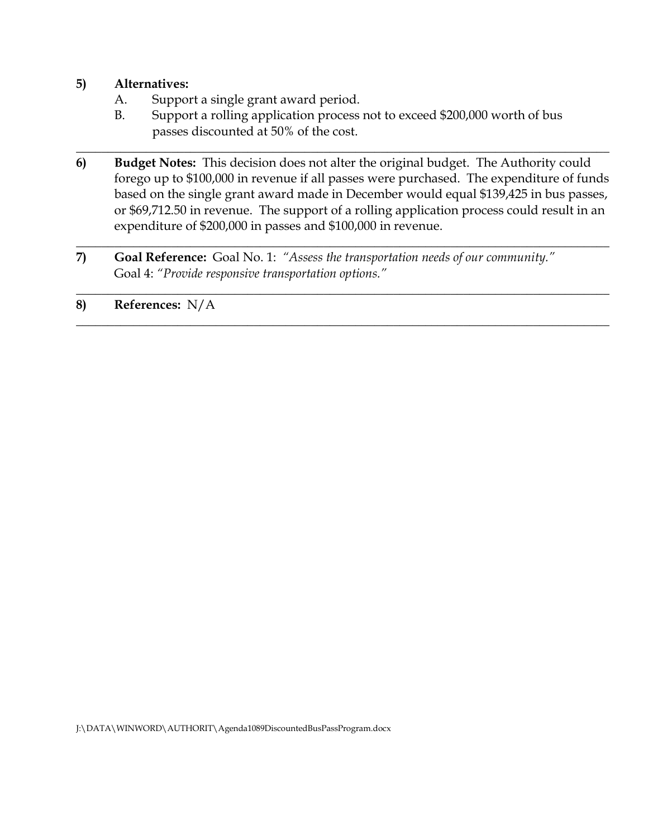## **5) Alternatives:**

- A. Support a single grant award period.
- B. Support a rolling application process not to exceed \$200,000 worth of bus passes discounted at 50% of the cost.

\_\_\_\_\_\_\_\_\_\_\_\_\_\_\_\_\_\_\_\_\_\_\_\_\_\_\_\_\_\_\_\_\_\_\_\_\_\_\_\_\_\_\_\_\_\_\_\_\_\_\_\_\_\_\_\_\_\_\_\_\_\_\_\_\_\_\_\_\_\_\_\_\_\_\_\_\_\_\_\_\_\_\_\_

**6) Budget Notes:** This decision does not alter the original budget.The Authority could forego up to \$100,000 in revenue if all passes were purchased. The expenditure of funds based on the single grant award made in December would equal \$139,425 in bus passes, or \$69,712.50 in revenue. The support of a rolling application process could result in an expenditure of \$200,000 in passes and \$100,000 in revenue.

\_\_\_\_\_\_\_\_\_\_\_\_\_\_\_\_\_\_\_\_\_\_\_\_\_\_\_\_\_\_\_\_\_\_\_\_\_\_\_\_\_\_\_\_\_\_\_\_\_\_\_\_\_\_\_\_\_\_\_\_\_\_\_\_\_\_\_\_\_\_\_\_\_\_\_\_\_\_\_\_\_\_\_\_

 $\_$  , and the set of the set of the set of the set of the set of the set of the set of the set of the set of the set of the set of the set of the set of the set of the set of the set of the set of the set of the set of th

\_\_\_\_\_\_\_\_\_\_\_\_\_\_\_\_\_\_\_\_\_\_\_\_\_\_\_\_\_\_\_\_\_\_\_\_\_\_\_\_\_\_\_\_\_\_\_\_\_\_\_\_\_\_\_\_\_\_\_\_\_\_\_\_\_\_\_\_\_\_\_\_\_\_\_\_\_\_\_\_\_\_\_\_

**7) Goal Reference:** Goal No. 1: *"Assess the transportation needs of our community."* Goal 4: *"Provide responsive transportation options."*

## **8) References:** N/A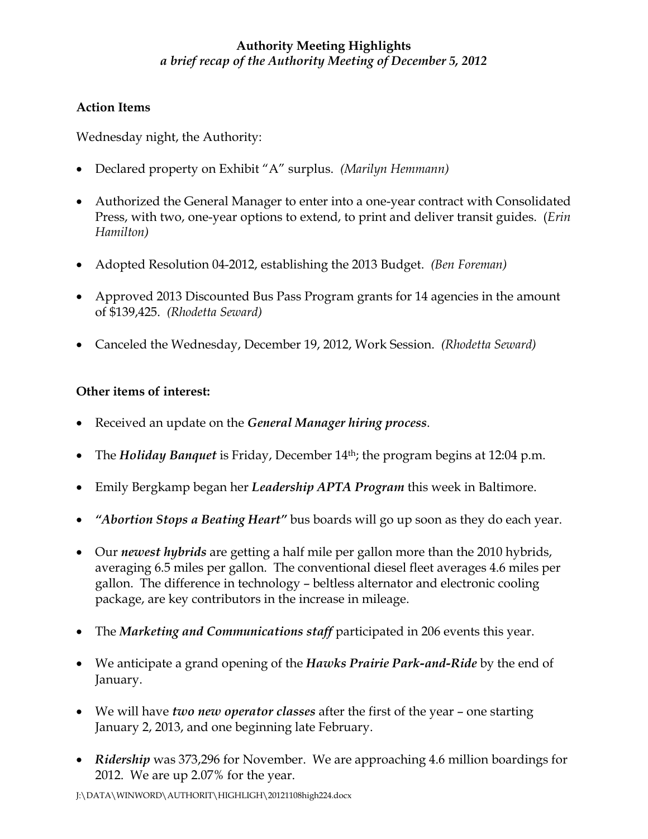# **Authority Meeting Highlights** *a brief recap of the Authority Meeting of December 5, 2012*

# **Action Items**

Wednesday night, the Authority:

- Declared property on Exhibit "A" surplus. *(Marilyn Hemmann)*
- Authorized the General Manager to enter into a one-year contract with Consolidated Press, with two, one-year options to extend, to print and deliver transit guides. (*Erin Hamilton)*
- Adopted Resolution 04-2012, establishing the 2013 Budget. *(Ben Foreman)*
- Approved 2013 Discounted Bus Pass Program grants for 14 agencies in the amount of \$139,425. *(Rhodetta Seward)*
- Canceled the Wednesday, December 19, 2012, Work Session. *(Rhodetta Seward)*

## **Other items of interest:**

- Received an update on the *General Manager hiring process*.
- The *Holiday Banquet* is Friday, December 14th; the program begins at 12:04 p.m.
- Emily Bergkamp began her *Leadership APTA Program* this week in Baltimore.
- *"Abortion Stops a Beating Heart"* bus boards will go up soon as they do each year.
- Our *newest hybrids* are getting a half mile per gallon more than the 2010 hybrids, averaging 6.5 miles per gallon. The conventional diesel fleet averages 4.6 miles per gallon. The difference in technology – beltless alternator and electronic cooling package, are key contributors in the increase in mileage.
- The *Marketing and Communications staff* participated in 206 events this year.
- We anticipate a grand opening of the *Hawks Prairie Park-and-Ride* by the end of January.
- We will have *two new operator classes* after the first of the year one starting January 2, 2013, and one beginning late February.
- *Ridership* was 373,296 for November. We are approaching 4.6 million boardings for 2012. We are up 2.07% for the year.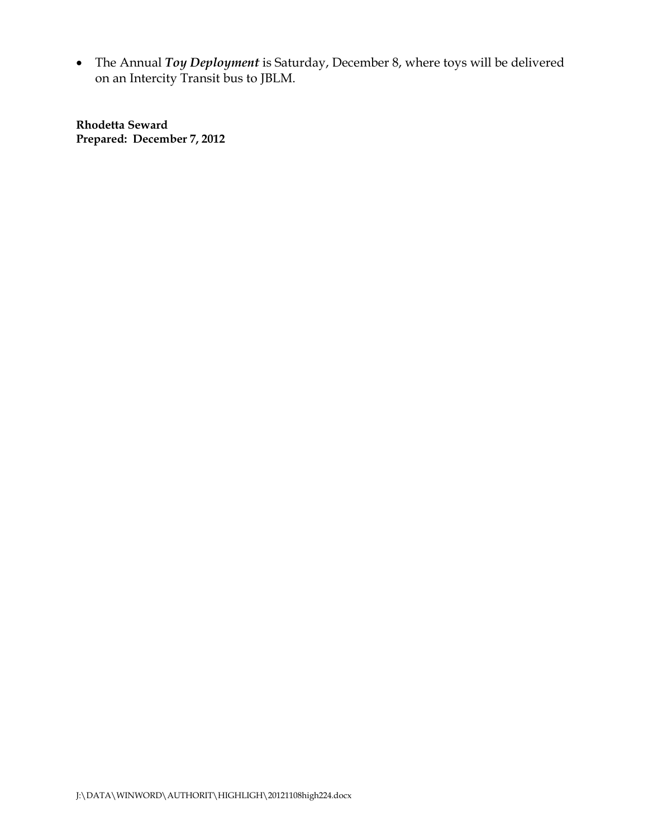• The Annual *Toy Deployment* is Saturday, December 8, where toys will be delivered on an Intercity Transit bus to JBLM.

**Rhodetta Seward Prepared: December 7, 2012**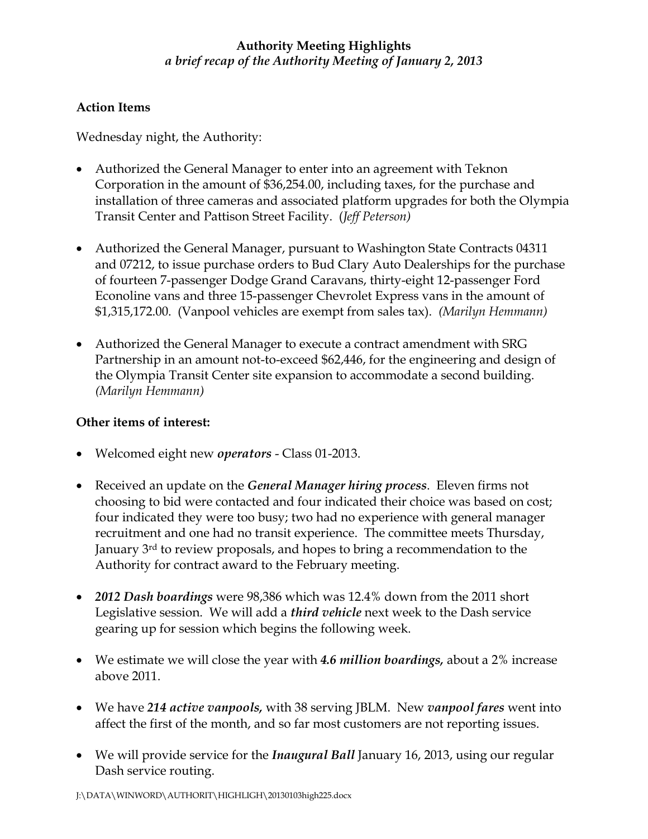# **Authority Meeting Highlights** *a brief recap of the Authority Meeting of January 2, 2013*

## **Action Items**

Wednesday night, the Authority:

- Authorized the General Manager to enter into an agreement with Teknon Corporation in the amount of \$36,254.00, including taxes, for the purchase and installation of three cameras and associated platform upgrades for both the Olympia Transit Center and Pattison Street Facility. (*Jeff Peterson)*
- Authorized the General Manager, pursuant to Washington State Contracts 04311 and 07212, to issue purchase orders to Bud Clary Auto Dealerships for the purchase of fourteen 7-passenger Dodge Grand Caravans, thirty-eight 12-passenger Ford Econoline vans and three 15-passenger Chevrolet Express vans in the amount of \$1,315,172.00. (Vanpool vehicles are exempt from sales tax). *(Marilyn Hemmann)*
- Authorized the General Manager to execute a contract amendment with SRG Partnership in an amount not-to-exceed \$62,446, for the engineering and design of the Olympia Transit Center site expansion to accommodate a second building. *(Marilyn Hemmann)*

#### **Other items of interest:**

- Welcomed eight new *operators* Class 01-2013.
- Received an update on the *General Manager hiring process*. Eleven firms not choosing to bid were contacted and four indicated their choice was based on cost; four indicated they were too busy; two had no experience with general manager recruitment and one had no transit experience. The committee meets Thursday, January 3rd to review proposals, and hopes to bring a recommendation to the Authority for contract award to the February meeting.
- *2012 Dash boardings* were 98,386 which was 12.4% down from the 2011 short Legislative session. We will add a *third vehicle* next week to the Dash service gearing up for session which begins the following week.
- We estimate we will close the year with *4.6 million boardings,* about a 2% increase above 2011.
- We have *214 active vanpools,* with 38 serving JBLM. New *vanpool fares* went into affect the first of the month, and so far most customers are not reporting issues.
- We will provide service for the *Inaugural Ball* January 16, 2013, using our regular Dash service routing.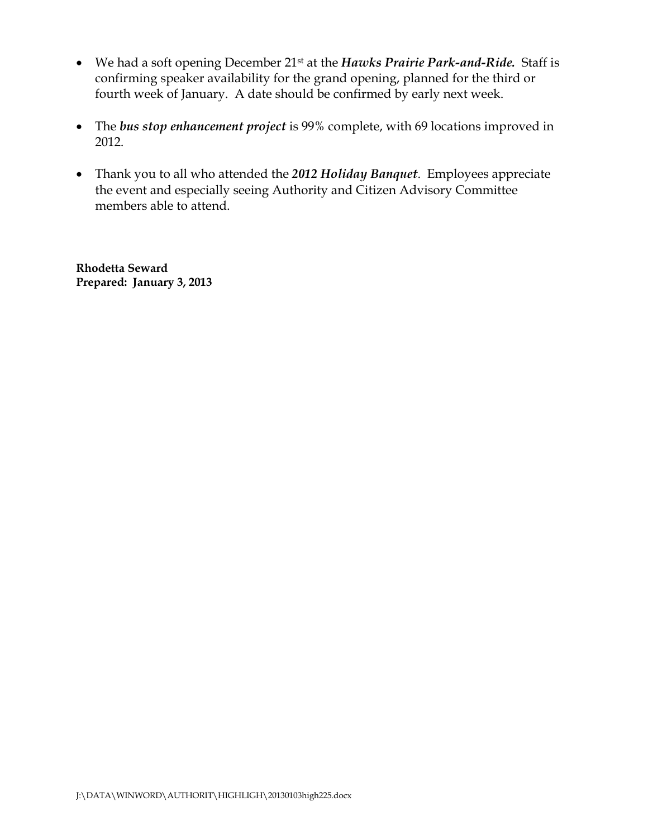- We had a soft opening December 21st at the *Hawks Prairie Park-and-Ride.* Staff is confirming speaker availability for the grand opening, planned for the third or fourth week of January. A date should be confirmed by early next week.
- The *bus stop enhancement project* is 99% complete, with 69 locations improved in 2012.
- Thank you to all who attended the *2012 Holiday Banquet*. Employees appreciate the event and especially seeing Authority and Citizen Advisory Committee members able to attend.

**Rhodetta Seward Prepared: January 3, 2013**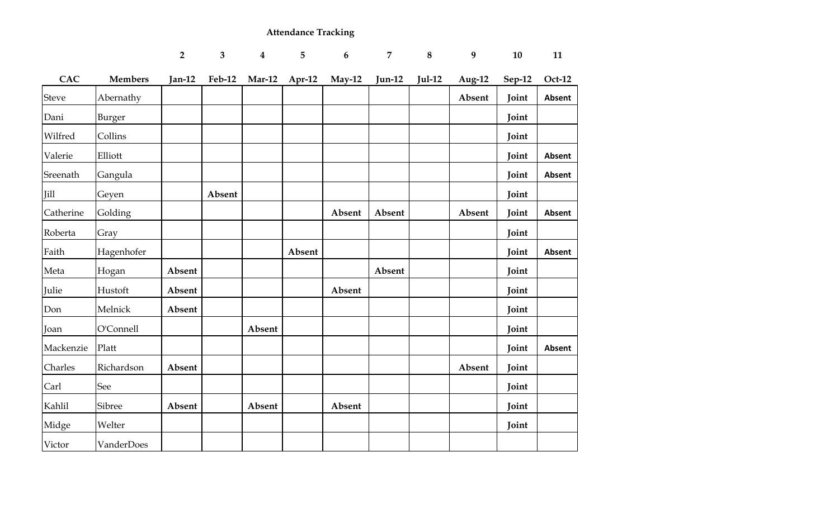# **Attendance Tracking**

|              |                | $\overline{2}$ | $\overline{\mathbf{3}}$ | $\overline{\mathbf{4}}$ | 5        | $6\phantom{1}6$ | $\overline{7}$ | $\bf 8$  | 9         | 10     | 11            |
|--------------|----------------|----------------|-------------------------|-------------------------|----------|-----------------|----------------|----------|-----------|--------|---------------|
| <b>CAC</b>   | <b>Members</b> | $Jan-12$       | <b>Feb-12</b>           | <b>Mar-12</b>           | $Apr-12$ | May-12          | $Jun-12$       | $Jul-12$ | Aug- $12$ | Sep-12 | Oct-12        |
| <b>Steve</b> | Abernathy      |                |                         |                         |          |                 |                |          | Absent    | Joint  | Absent        |
| Dani         | Burger         |                |                         |                         |          |                 |                |          |           | Joint  |               |
| Wilfred      | Collins        |                |                         |                         |          |                 |                |          |           | Joint  |               |
| Valerie      | Elliott        |                |                         |                         |          |                 |                |          |           | Joint  | Absent        |
| Sreenath     | Gangula        |                |                         |                         |          |                 |                |          |           | Joint  | <b>Absent</b> |
| Jill         | Geyen          |                | Absent                  |                         |          |                 |                |          |           | Joint  |               |
| Catherine    | Golding        |                |                         |                         |          | Absent          | Absent         |          | Absent    | Joint  | <b>Absent</b> |
| Roberta      | Gray           |                |                         |                         |          |                 |                |          |           | Joint  |               |
| Faith        | Hagenhofer     |                |                         |                         | Absent   |                 |                |          |           | Joint  | <b>Absent</b> |
| Meta         | Hogan          | Absent         |                         |                         |          |                 | Absent         |          |           | Joint  |               |
| Julie        | Hustoft        | Absent         |                         |                         |          | Absent          |                |          |           | Joint  |               |
| Don          | Melnick        | Absent         |                         |                         |          |                 |                |          |           | Joint  |               |
| Joan         | O'Connell      |                |                         | Absent                  |          |                 |                |          |           | Joint  |               |
| Mackenzie    | Platt          |                |                         |                         |          |                 |                |          |           | Joint  | Absent        |
| Charles      | Richardson     | Absent         |                         |                         |          |                 |                |          | Absent    | Joint  |               |
| Carl         | See            |                |                         |                         |          |                 |                |          |           | Joint  |               |
| Kahlil       | Sibree         | Absent         |                         | Absent                  |          | Absent          |                |          |           | Joint  |               |
| Midge        | Welter         |                |                         |                         |          |                 |                |          |           | Joint  |               |
| Victor       | VanderDoes     |                |                         |                         |          |                 |                |          |           |        |               |